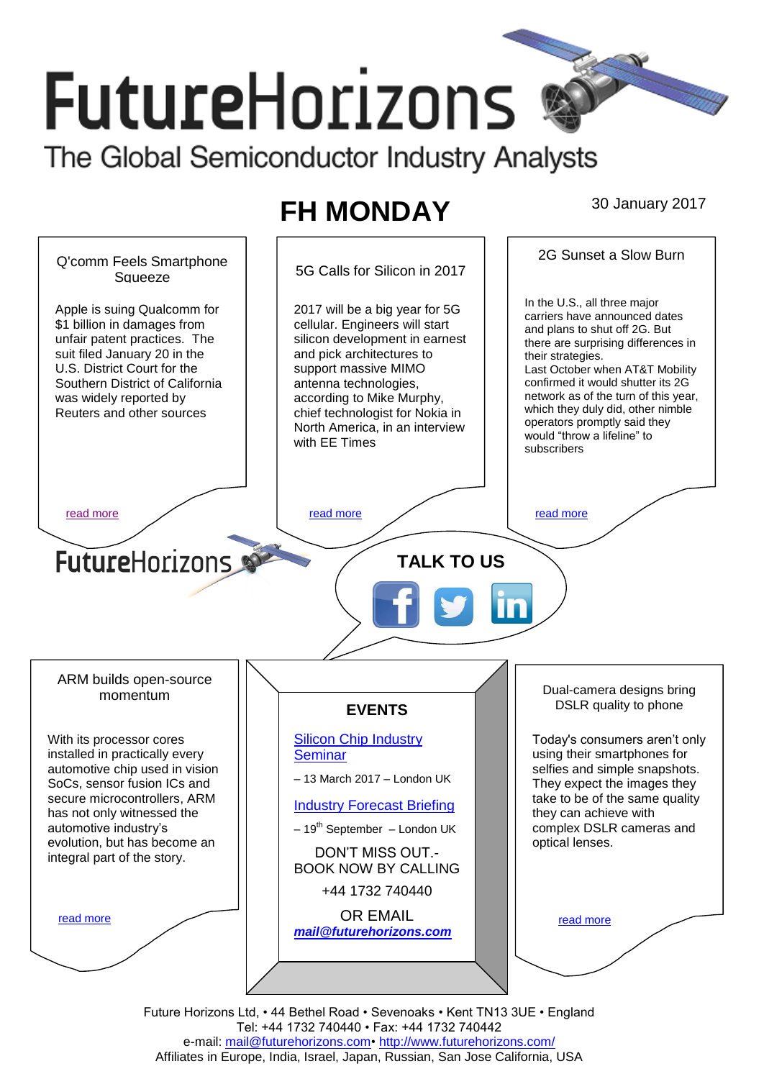# **FutureHorizons** The Global Semiconductor Industry Analysts

# **FH MONDAY** 30 January 2017



Future Horizons Ltd, • 44 Bethel Road • Sevenoaks • Kent TN13 3UE • England Tel: +44 1732 740440 • Fax: +44 1732 740442 e-mail: mail@futurehorizons.com• http://www.futurehorizons.com/ Affiliates in Europe, India, Israel, Japan, Russian, San Jose California, USA